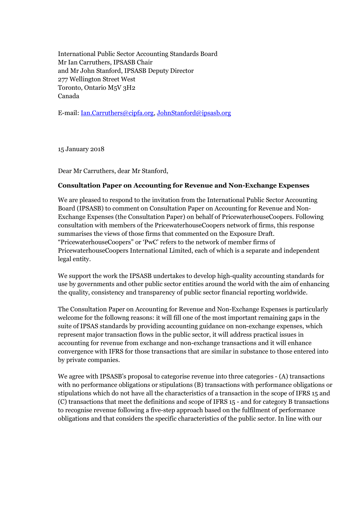International Public Sector Accounting Standards Board Mr Ian Carruthers, IPSASB Chair and Mr John Stanford, IPSASB Deputy Director 277 Wellington Street West Toronto, Ontario M5V 3H2 Canada

E-mail: Ian.Carruthers@cipfa.org, JohnStanford@ipsasb.org

15 January 2018

Dear Mr Carruthers, dear Mr Stanford,

# **Consultation Paper on Accounting for Revenue and Non-Exchange Expenses**

We are pleased to respond to the invitation from the International Public Sector Accounting Board (IPSASB) to comment on Consultation Paper on Accounting for Revenue and Non-Exchange Expenses (the Consultation Paper) on behalf of PricewaterhouseCoopers. Following consultation with members of the PricewaterhouseCoopers network of firms, this response summarises the views of those firms that commented on the Exposure Draft. "PricewaterhouseCoopers" or 'PwC' refers to the network of member firms of PricewaterhouseCoopers International Limited, each of which is a separate and independent legal entity.

We support the work the IPSASB undertakes to develop high-quality accounting standards for use by governments and other public sector entities around the world with the aim of enhancing the quality, consistency and transparency of public sector financial reporting worldwide.

The Consultation Paper on Accounting for Revenue and Non-Exchange Expenses is particularly welcome for the followng reasons: it will fill one of the most important remaining gaps in the suite of IPSAS standards by providing accounting guidance on non-exchange expenses, which represent major transaction flows in the public sector, it will address practical issues in accounting for revenue from exchange and non-exchange transactions and it will enhance convergence with IFRS for those transactions that are similar in substance to those entered into by private companies.

We agree with IPSASB's proposal to categorise revenue into three categories - (A) transactions with no performance obligations or stipulations (B) transactions with performance obligations or stipulations which do not have all the characteristics of a transaction in the scope of IFRS 15 and (C) transactions that meet the definitions and scope of IFRS 15 - and for category B transactions to recognise revenue following a five-step approach based on the fulfilment of performance obligations and that considers the specific characteristics of the public sector. In line with our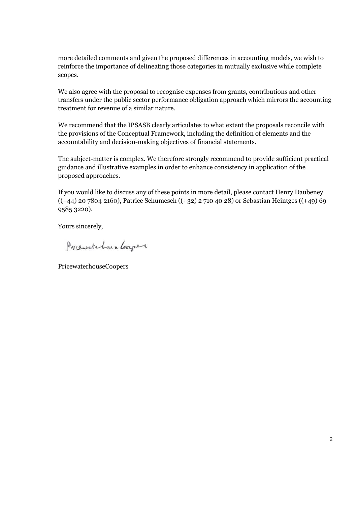more detailed comments and given the proposed differences in accounting models, we wish to reinforce the importance of delineating those categories in mutually exclusive while complete scopes.

We also agree with the proposal to recognise expenses from grants, contributions and other transfers under the public sector performance obligation approach which mirrors the accounting treatment for revenue of a similar nature.

We recommend that the IPSASB clearly articulates to what extent the proposals reconcile with the provisions of the Conceptual Framework, including the definition of elements and the accountability and decision-making objectives of financial statements.

The subject-matter is complex. We therefore strongly recommend to provide sufficient practical guidance and illustrative examples in order to enhance consistency in application of the proposed approaches.

If you would like to discuss any of these points in more detail, please contact Henry Daubeney  $((+44)$  20 7804 2160), Patrice Schumesch  $((+32)$  2 710 40 28) or Sebastian Heintges  $((+49)$  69 9585 3220).

Yours sincerely,

Priciotatain Leapes

PricewaterhouseCoopers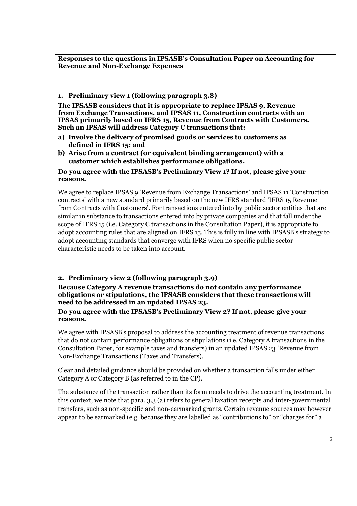#### **Responses to the questions in IPSASB's Consultation Paper on Accounting for Revenue and Non-Exchange Expenses**

### **1. Preliminary view 1 (following paragraph 3.8)**

**The IPSASB considers that it is appropriate to replace IPSAS 9, Revenue from Exchange Transactions, and IPSAS 11, Construction contracts with an IPSAS primarily based on IFRS 15, Revenue from Contracts with Customers. Such an IPSAS will address Category C transactions that:**

- **a) Involve the delivery of promised goods or services to customers as defined in IFRS 15; and**
- **b) Arise from a contract (or equivalent binding arrangement) with a customer which establishes performance obligations.**

### **Do you agree with the IPSASB's Preliminary View 1? If not, please give your reasons.**

We agree to replace IPSAS 9 'Revenue from Exchange Transactions' and IPSAS 11 'Construction contracts' with a new standard primarily based on the new IFRS standard 'IFRS 15 Revenue from Contracts with Customers'. For transactions entered into by public sector entities that are similar in substance to transactions entered into by private companies and that fall under the scope of IFRS 15 (i.e. Category C transactions in the Consultation Paper), it is appropriate to adopt accounting rules that are aligned on IFRS 15. This is fully in line with IPSASB's strategy to adopt accounting standards that converge with IFRS when no specific public sector characteristic needs to be taken into account.

# **2. Preliminary view 2 (following paragraph 3.9)**

#### **Because Category A revenue transactions do not contain any performance obligations or stipulations, the IPSASB considers that these transactions will need to be addressed in an updated IPSAS 23.**

### **Do you agree with the IPSASB's Preliminary View 2? If not, please give your reasons.**

We agree with IPSASB's proposal to address the accounting treatment of revenue transactions that do not contain performance obligations or stipulations (i.e. Category A transactions in the Consultation Paper, for example taxes and transfers) in an updated IPSAS 23 'Revenue from Non-Exchange Transactions (Taxes and Transfers).

Clear and detailed guidance should be provided on whether a transaction falls under either Category A or Category B (as referred to in the CP).

The substance of the transaction rather than its form needs to drive the accounting treatment. In this context, we note that para. 3.3 (a) refers to general taxation receipts and inter-governmental transfers, such as non-specific and non-earmarked grants. Certain revenue sources may however appear to be earmarked (e.g. because they are labelled as "contributions to" or "charges for" a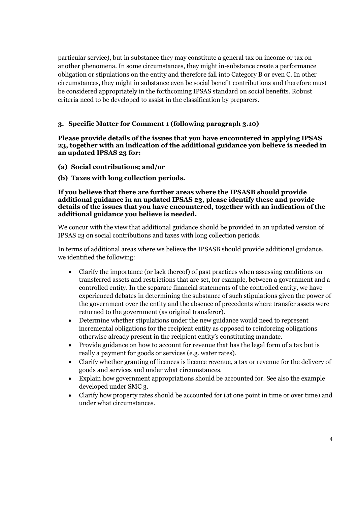particular service), but in substance they may constitute a general tax on income or tax on another phenomena. In some circumstances, they might in-substance create a performance obligation or stipulations on the entity and therefore fall into Category B or even C. In other circumstances, they might in substance even be social benefit contributions and therefore must be considered appropriately in the forthcoming IPSAS standard on social benefits. Robust criteria need to be developed to assist in the classification by preparers.

# **3. Specific Matter for Comment 1 (following paragraph 3.10)**

**Please provide details of the issues that you have encountered in applying IPSAS 23, together with an indication of the additional guidance you believe is needed in an updated IPSAS 23 for:**

- **(a) Social contributions; and/or**
- **(b) Taxes with long collection periods.**

#### **If you believe that there are further areas where the IPSASB should provide additional guidance in an updated IPSAS 23, please identify these and provide details of the issues that you have encountered, together with an indication of the additional guidance you believe is needed.**

We concur with the view that additional guidance should be provided in an updated version of IPSAS 23 on social contributions and taxes with long collection periods.

In terms of additional areas where we believe the IPSASB should provide additional guidance, we identified the following:

- Clarify the importance (or lack thereof) of past practices when assessing conditions on transferred assets and restrictions that are set, for example, between a government and a controlled entity. In the separate financial statements of the controlled entity, we have experienced debates in determining the substance of such stipulations given the power of the government over the entity and the absence of precedents where transfer assets were returned to the government (as original transferor).
- Determine whether stipulations under the new guidance would need to represent incremental obligations for the recipient entity as opposed to reinforcing obligations otherwise already present in the recipient entity's constituting mandate.
- Provide guidance on how to account for revenue that has the legal form of a tax but is really a payment for goods or services (e.g. water rates).
- Clarify whether granting of licences is licence revenue, a tax or revenue for the delivery of goods and services and under what circumstances.
- Explain how government appropriations should be accounted for. See also the example developed under SMC 3.
- Clarify how property rates should be accounted for (at one point in time or over time) and under what circumstances.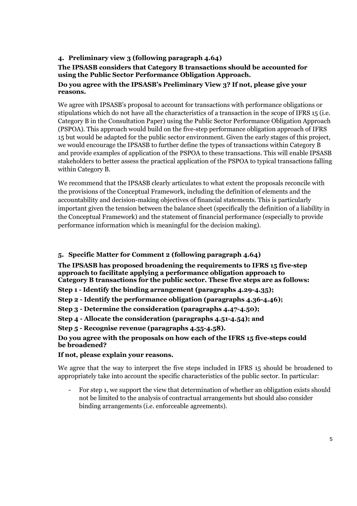# **4. Preliminary view 3 (following paragraph 4.64)**

# **The IPSASB considers that Category B transactions should be accounted for using the Public Sector Performance Obligation Approach.**

### **Do you agree with the IPSASB's Preliminary View 3? If not, please give your reasons.**

We agree with IPSASB's proposal to account for transactions with performance obligations or stipulations which do not have all the characteristics of a transaction in the scope of IFRS 15 (i.e. Category B in the Consultation Paper) using the Public Sector Performance Obligation Approach (PSPOA). This approach would build on the five-step performance obligation approach of IFRS 15 but would be adapted for the public sector environment. Given the early stages of this project, we would encourage the IPSASB to further define the types of transactions within Category B and provide examples of application of the PSPOA to these transactions. This will enable IPSASB stakeholders to better assess the practical application of the PSPOA to typical transactions falling within Category B.

We recommend that the IPSASB clearly articulates to what extent the proposals reconcile with the provisions of the Conceptual Framework, including the definition of elements and the accountability and decision-making objectives of financial statements. This is particularly important given the tension between the balance sheet (specifically the definition of a liability in the Conceptual Framework) and the statement of financial performance (especially to provide performance information which is meaningful for the decision making).

# **5. Specific Matter for Comment 2 (following paragraph 4.64)**

**The IPSASB has proposed broadening the requirements to IFRS 15 five-step approach to facilitate applying a performance obligation approach to Category B transactions for the public sector. These five steps are as follows:**

**Step 1 - Identify the binding arrangement (paragraphs 4.29-4.35);**

**Step 2 - Identify the performance obligation (paragraphs 4.36-4.46);**

**Step 3 - Determine the consideration (paragraphs 4.47-4.50);**

**Step 4 - Allocate the consideration (paragraphs 4.51-4.54); and**

**Step 5 - Recognise revenue (paragraphs 4.55-4.58).**

**Do you agree with the proposals on how each of the IFRS 15 five-steps could be broadened?**

**If not, please explain your reasons.**

We agree that the way to interpret the five steps included in IFRS 15 should be broadened to appropriately take into account the specific characteristics of the public sector. In particular:

For step 1, we support the view that determination of whether an obligation exists should not be limited to the analysis of contractual arrangements but should also consider binding arrangements (i.e. enforceable agreements).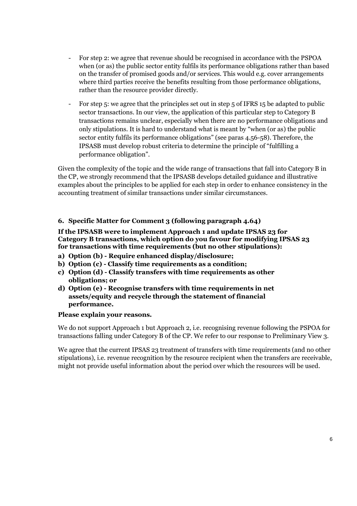- For step 2: we agree that revenue should be recognised in accordance with the PSPOA when (or as) the public sector entity fulfils its performance obligations rather than based on the transfer of promised goods and/or services. This would e.g. cover arrangements where third parties receive the benefits resulting from those performance obligations, rather than the resource provider directly.
- For step 5: we agree that the principles set out in step 5 of IFRS 15 be adapted to public sector transactions. In our view, the application of this particular step to Category B transactions remains unclear, especially when there are no performance obligations and only stipulations. It is hard to understand what is meant by "when (or as) the public sector entity fulfils its performance obligations" (see paras 4.56-58). Therefore, the IPSASB must develop robust criteria to determine the principle of "fulfilling a performance obligation".

Given the complexity of the topic and the wide range of transactions that fall into Category B in the CP, we strongly recommend that the IPSASB develops detailed guidance and illustrative examples about the principles to be applied for each step in order to enhance consistency in the accounting treatment of similar transactions under similar circumstances.

# **6. Specific Matter for Comment 3 (following paragraph 4.64)**

### **If the IPSASB were to implement Approach 1 and update IPSAS 23 for Category B transactions, which option do you favour for modifying IPSAS 23 for transactions with time requirements (but no other stipulations):**

- **a) Option (b) Require enhanced display/disclosure;**
- **b) Option (c) Classify time requirements as a condition;**
- **c) Option (d) Classify transfers with time requirements as other obligations; or**
- **d) Option (e) Recognise transfers with time requirements in net assets/equity and recycle through the statement of financial performance.**

# **Please explain your reasons.**

We do not support Approach 1 but Approach 2, i.e. recognising revenue following the PSPOA for transactions falling under Category B of the CP. We refer to our response to Preliminary View 3.

We agree that the current IPSAS 23 treatment of transfers with time requirements (and no other stipulations), i.e. revenue recognition by the resource recipient when the transfers are receivable, might not provide useful information about the period over which the resources will be used.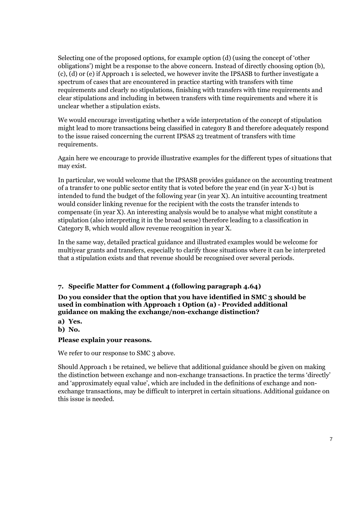Selecting one of the proposed options, for example option (d) (using the concept of 'other obligations') might be a response to the above concern. Instead of directly choosing option (b), (c), (d) or (e) if Approach 1 is selected, we however invite the IPSASB to further investigate a spectrum of cases that are encountered in practice starting with transfers with time requirements and clearly no stipulations, finishing with transfers with time requirements and clear stipulations and including in between transfers with time requirements and where it is unclear whether a stipulation exists.

We would encourage investigating whether a wide interpretation of the concept of stipulation might lead to more transactions being classified in category B and therefore adequately respond to the issue raised concerning the current IPSAS 23 treatment of transfers with time requirements.

Again here we encourage to provide illustrative examples for the different types of situations that may exist.

In particular, we would welcome that the IPSASB provides guidance on the accounting treatment of a transfer to one public sector entity that is voted before the year end (in year X-1) but is intended to fund the budget of the following year (in year X). An intuitive accounting treatment would consider linking revenue for the recipient with the costs the transfer intends to compensate (in year X). An interesting analysis would be to analyse what might constitute a stipulation (also interpreting it in the broad sense) therefore leading to a classification in Category B, which would allow revenue recognition in year X.

In the same way, detailed practical guidance and illustrated examples would be welcome for multiyear grants and transfers, especially to clarify those situations where it can be interpreted that a stipulation exists and that revenue should be recognised over several periods.

# **7. Specific Matter for Comment 4 (following paragraph 4.64)**

### **Do you consider that the option that you have identified in SMC 3 should be used in combination with Approach 1 Option (a) - Provided additional guidance on making the exchange/non-exchange distinction?**

- **a) Yes.**
- **b) No.**

# **Please explain your reasons.**

We refer to our response to SMC 3 above.

Should Approach 1 be retained, we believe that additional guidance should be given on making the distinction between exchange and non-exchange transactions. In practice the terms 'directly' and 'approximately equal value', which are included in the definitions of exchange and nonexchange transactions, may be difficult to interpret in certain situations. Additional guidance on this issue is needed.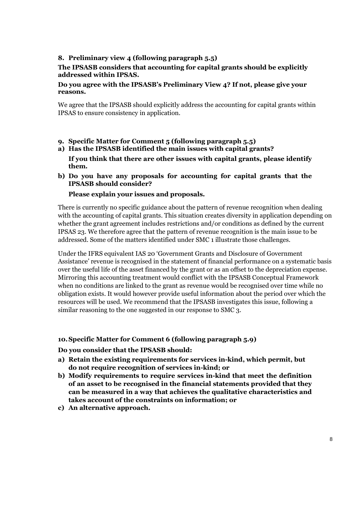# **8. Preliminary view 4 (following paragraph 5.5)**

# **The IPSASB considers that accounting for capital grants should be explicitly addressed within IPSAS.**

#### **Do you agree with the IPSASB's Preliminary View 4? If not, please give your reasons.**

We agree that the IPSASB should explicitly address the accounting for capital grants within IPSAS to ensure consistency in application.

- **9. Specific Matter for Comment 5 (following paragraph 5.5)**
- **a) Has the IPSASB identified the main issues with capital grants?**

**If you think that there are other issues with capital grants, please identify them.**

**b) Do you have any proposals for accounting for capital grants that the IPSASB should consider?**

#### **Please explain your issues and proposals.**

There is currently no specific guidance about the pattern of revenue recognition when dealing with the accounting of capital grants. This situation creates diversity in application depending on whether the grant agreement includes restrictions and/or conditions as defined by the current IPSAS 23. We therefore agree that the pattern of revenue recognition is the main issue to be addressed. Some of the matters identified under SMC 1 illustrate those challenges.

Under the IFRS equivalent IAS 20 'Government Grants and Disclosure of Government Assistance' revenue is recognised in the statement of financial performance on a systematic basis over the useful life of the asset financed by the grant or as an offset to the depreciation expense. Mirroring this accounting treatment would conflict with the IPSASB Conceptual Framework when no conditions are linked to the grant as revenue would be recognised over time while no obligation exists. It would however provide useful information about the period over which the resources will be used. We recommend that the IPSASB investigates this issue, following a similar reasoning to the one suggested in our response to SMC 3.

#### **10.Specific Matter for Comment 6 (following paragraph 5.9)**

#### **Do you consider that the IPSASB should:**

- **a) Retain the existing requirements for services in-kind, which permit, but do not require recognition of services in-kind; or**
- **b) Modify requirements to require services in-kind that meet the definition of an asset to be recognised in the financial statements provided that they can be measured in a way that achieves the qualitative characteristics and takes account of the constraints on information; or**
- **c) An alternative approach.**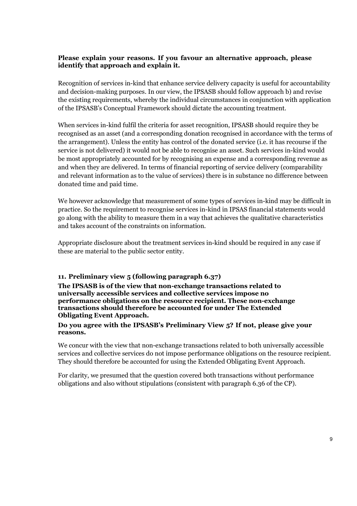# **Please explain your reasons. If you favour an alternative approach, please identify that approach and explain it.**

Recognition of services in-kind that enhance service delivery capacity is useful for accountability and decision-making purposes. In our view, the IPSASB should follow approach b) and revise the existing requirements, whereby the individual circumstances in conjunction with application of the IPSASB's Conceptual Framework should dictate the accounting treatment.

When services in-kind fulfil the criteria for asset recognition, IPSASB should require they be recognised as an asset (and a corresponding donation recognised in accordance with the terms of the arrangement). Unless the entity has control of the donated service (i.e. it has recourse if the service is not delivered) it would not be able to recognise an asset. Such services in-kind would be most appropriately accounted for by recognising an expense and a corresponding revenue as and when they are delivered. In terms of financial reporting of service delivery (comparability and relevant information as to the value of services) there is in substance no difference between donated time and paid time.

We however acknowledge that measurement of some types of services in-kind may be difficult in practice. So the requirement to recognise services in-kind in IPSAS financial statements would go along with the ability to measure them in a way that achieves the qualitative characteristics and takes account of the constraints on information.

Appropriate disclosure about the treatment services in-kind should be required in any case if these are material to the public sector entity.

# **11. Preliminary view 5 (following paragraph 6.37)**

**The IPSASB is of the view that non-exchange transactions related to universally accessible services and collective services impose no performance obligations on the resource recipient. These non-exchange transactions should therefore be accounted for under The Extended Obligating Event Approach.**

#### **Do you agree with the IPSASB's Preliminary View 5? If not, please give your reasons.**

We concur with the view that non-exchange transactions related to both universally accessible services and collective services do not impose performance obligations on the resource recipient. They should therefore be accounted for using the Extended Obligating Event Approach.

For clarity, we presumed that the question covered both transactions without performance obligations and also without stipulations (consistent with paragraph 6.36 of the CP).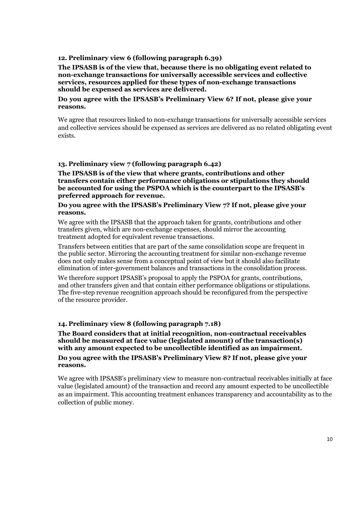#### **12. Preliminary view 6 (following paragraph 6.39)**

**The IPSASB is of the view that, because there is no obligating event related to non-exchange transactions for universally accessible services and collective services, resources applied for these types of non-exchange transactions should be expensed as services are delivered.**

#### **Do you agree with the IPSASB's Preliminary View 6? If not, please give your reasons.**

We agree that resources linked to non-exchange transactions for universally accessible services and collective services should be expensed as services are delivered as no related obligating event exists.

### **13. Preliminary view 7 (following paragraph 6.42)**

**The IPSASB is of the view that where grants, contributions and other transfers contain either performance obligations or stipulations they should be accounted for using the PSPOA which is the counterpart to the IPSASB's preferred approach for revenue.**

#### **Do you agree with the IPSASB's Preliminary View 7? If not, please give your reasons.**

We agree with the IPSASB that the approach taken for grants, contributions and other transfers given, which are non-exchange expenses, should mirror the accounting treatment adopted for equivalent revenue transactions.

Transfers between entities that are part of the same consolidation scope are frequent in the public sector. Mirroring the accounting treatment for similar non-exchange revenue does not only makes sense from a conceptual point of view but it should also facilitate elimination of inter-government balances and transactions in the consolidation process.

We therefore support IPSASB's proposal to apply the PSPOA for grants, contributions, and other transfers given and that contain either performance obligations or stipulations. The five-step revenue recognition approach should be reconfigured from the perspective of the resource provider.

#### **14. Preliminary view 8 (following paragraph 7.18)**

**The Board considers that at initial recognition, non-contractual receivables should be measured at face value (legislated amount) of the transaction(s) with any amount expected to be uncollectible identified as an impairment. Do you agree with the IPSASB's Preliminary View 8? If not, please give your reasons.**

We agree with IPSASB's preliminary view to measure non-contractual receivables initially at face value (legislated amount) of the transaction and record any amount expected to be uncollectible as an impairment. This accounting treatment enhances transparency and accountability as to the collection of public money.